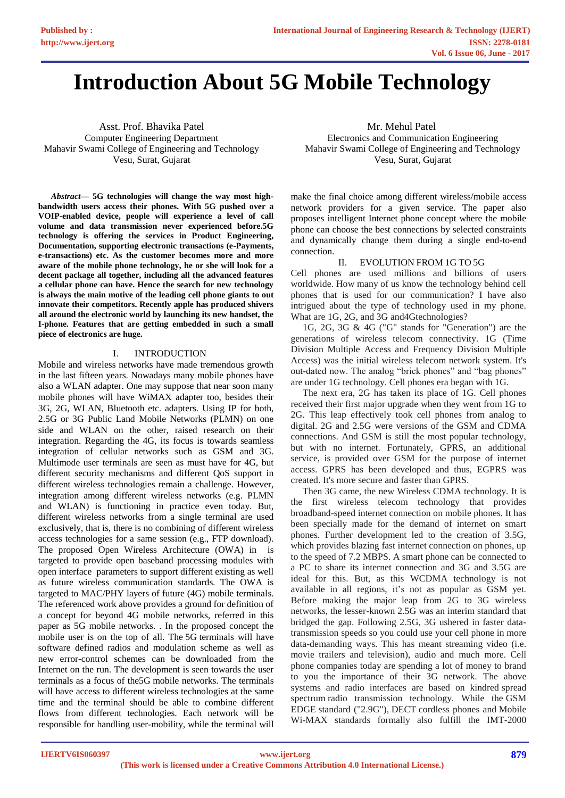# **Introduction About 5G Mobile Technology**

Asst. Prof. Bhavika Patel Computer Engineering Department Mahavir Swami College of Engineering and Technology Vesu, Surat, Gujarat

*Abstract***— 5G technologies will change the way most highbandwidth users access their phones. With 5G pushed over a VOIP-enabled device, people will experience a level of call volume and data transmission never experienced before.5G technology is offering the services in Product Engineering, Documentation, supporting electronic transactions (e-Payments, e-transactions) etc. As the customer becomes more and more aware of the mobile phone technology, he or she will look for a decent package all together, including all the advanced features a cellular phone can have. Hence the search for new technology is always the main motive of the leading cell phone giants to out innovate their competitors. Recently apple has produced shivers all around the electronic world by launching its new handset, the I-phone. Features that are getting embedded in such a small piece of electronics are huge.**

#### I. INTRODUCTION

Mobile and wireless networks have made tremendous growth in the last fifteen years. Nowadays many mobile phones have also a WLAN adapter. One may suppose that near soon many mobile phones will have WiMAX adapter too, besides their 3G, 2G, WLAN, Bluetooth etc. adapters. Using IP for both, 2.5G or 3G Public Land Mobile Networks (PLMN) on one side and WLAN on the other, raised research on their integration. Regarding the 4G, its focus is towards seamless integration of cellular networks such as GSM and 3G. Multimode user terminals are seen as must have for 4G, but different security mechanisms and different QoS support in different wireless technologies remain a challenge. However, integration among different wireless networks (e.g. PLMN and WLAN) is functioning in practice even today. But, different wireless networks from a single terminal are used exclusively, that is, there is no combining of different wireless access technologies for a same session (e.g., FTP download). The proposed Open Wireless Architecture (OWA) in is targeted to provide open baseband processing modules with open interface parameters to support different existing as well as future wireless communication standards. The OWA is targeted to MAC/PHY layers of future (4G) mobile terminals. The referenced work above provides a ground for definition of a concept for beyond 4G mobile networks, referred in this paper as 5G mobile networks. . In the proposed concept the mobile user is on the top of all. The 5G terminals will have software defined radios and modulation scheme as well as new error-control schemes can be downloaded from the Internet on the run. The development is seen towards the user terminals as a focus of the5G mobile networks. The terminals will have access to different wireless technologies at the same time and the terminal should be able to combine different flows from different technologies. Each network will be responsible for handling user-mobility, while the terminal will

 Mr. Mehul Patel Electronics and Communication Engineering Mahavir Swami College of Engineering and Technology Vesu, Surat, Gujarat

make the final choice among different wireless/mobile access network providers for a given service. The paper also proposes intelligent Internet phone concept where the mobile phone can choose the best connections by selected constraints and dynamically change them during a single end-to-end connection.

#### II. EVOLUTION FROM 1G TO 5G

Cell phones are used millions and billions of users worldwide. How many of us know the technology behind cell phones that is used for our communication? I have also intrigued about the type of technology used in my phone. What are 1G, 2G, and 3G and4Gtechnologies?

1G, 2G, 3G & 4G ("G" stands for "Generation") are the generations of wireless telecom connectivity. 1G (Time Division Multiple Access and Frequency Division Multiple Access) was the initial wireless telecom network system. It's out-dated now. The analog "brick phones" and "bag phones" are under 1G technology. Cell phones era began with 1G.

 The next era, 2G has taken its place of 1G. Cell phones received their first major upgrade when they went from 1G to 2G. This leap effectively took cell phones from analog to digital. 2G and 2.5G were versions of the GSM and CDMA connections. And GSM is still the most popular technology, but with no internet. Fortunately, GPRS, an additional service, is provided over GSM for the purpose of internet access. GPRS has been developed and thus, EGPRS was created. It's more secure and faster than GPRS.

 Then 3G came, the new Wireless CDMA technology. It is the first wireless telecom technology that provides broadband-speed internet connection on mobile phones. It has been specially made for the demand of internet on smart phones. Further development led to the creation of 3.5G, which provides blazing fast internet connection on phones, up to the speed of 7.2 MBPS. A smart phone can be connected to a PC to share its internet connection and 3G and 3.5G are ideal for this. But, as this WCDMA technology is not available in all regions, it's not as popular as GSM yet. Before making the major leap from 2G to 3G wireless networks, the lesser-known 2.5G was an interim standard that bridged the gap. Following 2.5G, 3G ushered in faster datatransmission speeds so you could use your cell phone in more data-demanding ways. This has meant streaming video (i.e. movie trailers and television), audio and much more. Cell phone companies today are spending a lot of money to brand to you the importance of their 3G network. The above systems and radio interfaces are based on kindred spread spectrum radio transmission technology. While the GSM EDGE standard ("2.9G"), DECT cordless phones and Mobile Wi-MAX standards formally also fulfill the IMT-2000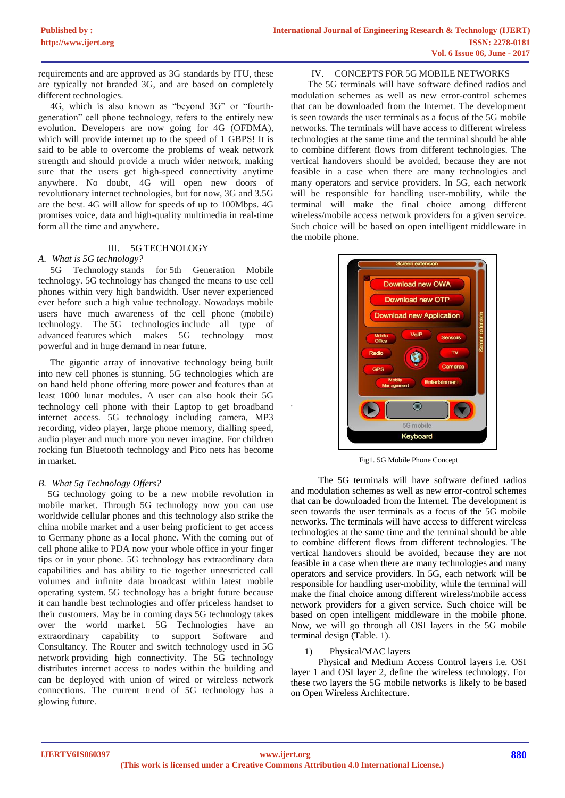requirements and are approved as 3G standards by ITU, these are typically not branded 3G, and are based on completely different technologies.

 4G, which is also known as "beyond 3G" or "fourthgeneration" cell phone technology, refers to the entirely new evolution. Developers are now going for 4G (OFDMA), which will provide internet up to the speed of 1 GBPS! It is said to be able to overcome the problems of weak network strength and should provide a much wider network, making sure that the users get high-speed connectivity anytime anywhere. No doubt, 4G will open new doors of revolutionary internet technologies, but for now, 3G and 3.5G are the best. 4G will allow for speeds of up to 100Mbps. 4G promises voice, data and high-quality multimedia in real-time form all the time and anywhere.

# III. 5G TECHNOLOGY

### *A. What is 5G technology?*

5G Technology stands for 5th Generation Mobile technology. 5G technology has changed the means to use cell phones within very high bandwidth. User never experienced ever before such a high value technology. Nowadays mobile users have much awareness of the cell phone (mobile) technology. The 5G technologies include all type of advanced features which makes 5G technology most powerful and in huge demand in near future.

 The gigantic array of innovative technology being built into new cell phones is stunning. 5G technologies which are on hand held phone offering more power and features than at least 1000 lunar modules. A user can also hook their 5G technology cell phone with their Laptop to get broadband internet access. 5G technology including camera, MP3 recording, video player, large phone memory, dialling speed, audio player and much more you never imagine. For children rocking fun Bluetooth technology and Pico nets has become in market.

# *B. What 5g Technology Offers?*

 5G technology going to be a new mobile revolution in mobile market. Through 5G technology now you can use worldwide cellular phones and this technology also strike the china mobile market and a user being proficient to get access to Germany phone as a local phone. With the coming out of cell phone alike to PDA now your whole office in your finger tips or in your phone. 5G technology has extraordinary data capabilities and has ability to tie together unrestricted call volumes and infinite data broadcast within latest mobile operating system. 5G technology has a bright future because it can handle best technologies and offer priceless handset to their customers. May be in coming days 5G technology takes over the world market. 5G Technologies have an extraordinary capability to support Software and Consultancy. The Router and switch technology used in 5G network providing high connectivity. The 5G technology distributes internet access to nodes within the building and can be deployed with union of wired or wireless network connections. The current trend of 5G technology has a glowing future.

#### IV. CONCEPTS FOR 5G MOBILE NETWORKS

 The 5G terminals will have software defined radios and modulation schemes as well as new error-control schemes that can be downloaded from the Internet. The development is seen towards the user terminals as a focus of the 5G mobile networks. The terminals will have access to different wireless technologies at the same time and the terminal should be able to combine different flows from different technologies. The vertical handovers should be avoided, because they are not feasible in a case when there are many technologies and many operators and service providers. In 5G, each network will be responsible for handling user-mobility, while the terminal will make the final choice among different wireless/mobile access network providers for a given service. Such choice will be based on open intelligent middleware in the mobile phone.



Fig1. 5G Mobile Phone Concept

 The 5G terminals will have software defined radios and modulation schemes as well as new error-control schemes that can be downloaded from the Internet. The development is seen towards the user terminals as a focus of the 5G mobile networks. The terminals will have access to different wireless technologies at the same time and the terminal should be able to combine different flows from different technologies. The vertical handovers should be avoided, because they are not feasible in a case when there are many technologies and many operators and service providers. In 5G, each network will be responsible for handling user-mobility, while the terminal will make the final choice among different wireless/mobile access network providers for a given service. Such choice will be based on open intelligent middleware in the mobile phone. Now, we will go through all OSI layers in the 5G mobile terminal design (Table. 1).

#### 1) Physical/MAC layers

 Physical and Medium Access Control layers i.e. OSI layer 1 and OSI layer 2, define the wireless technology. For these two layers the 5G mobile networks is likely to be based on Open Wireless Architecture.

*.*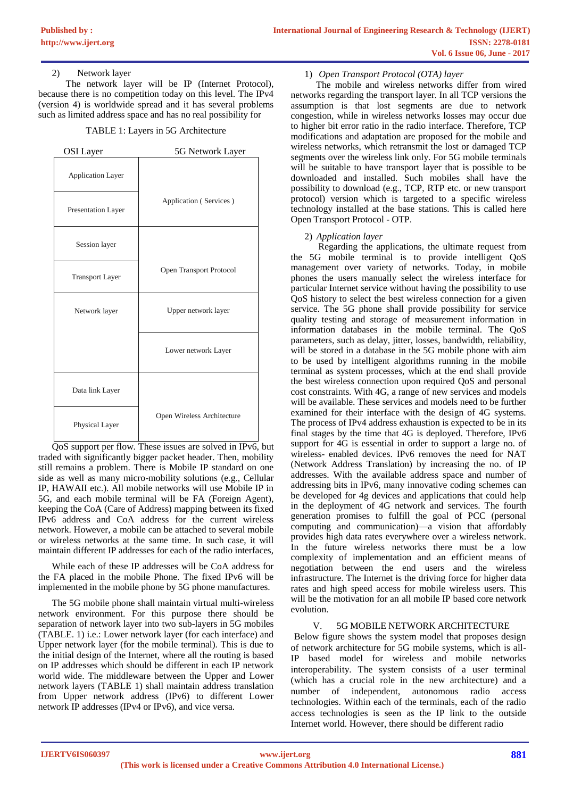# 2) Network layer

 The network layer will be IP (Internet Protocol), because there is no competition today on this level. The IPv4 (version 4) is worldwide spread and it has several problems such as limited address space and has no real possibility for

#### TABLE 1: Layers in 5G Architecture

| OSI Layer                | 5G Network Layer           |
|--------------------------|----------------------------|
| <b>Application Layer</b> |                            |
| Presentation Layer       | Application (Services)     |
| Session layer            |                            |
| <b>Transport Layer</b>   | Open Transport Protocol    |
| Network layer            | Upper network layer        |
|                          | Lower network Layer        |
| Data link Layer          |                            |
| Physical Layer           | Open Wireless Architecture |

QoS support per flow. These issues are solved in IPv6, but traded with significantly bigger packet header. Then, mobility still remains a problem. There is Mobile IP standard on one side as well as many micro-mobility solutions (e.g., Cellular IP, HAWAII etc.). All mobile networks will use Mobile IP in 5G, and each mobile terminal will be FA (Foreign Agent), keeping the CoA (Care of Address) mapping between its fixed IPv6 address and CoA address for the current wireless network. However, a mobile can be attached to several mobile or wireless networks at the same time. In such case, it will maintain different IP addresses for each of the radio interfaces,

While each of these IP addresses will be CoA address for the FA placed in the mobile Phone. The fixed IPv6 will be implemented in the mobile phone by 5G phone manufactures.

The 5G mobile phone shall maintain virtual multi-wireless network environment. For this purpose there should be separation of network layer into two sub-layers in 5G mobiles (TABLE. 1) i.e.: Lower network layer (for each interface) and Upper network layer (for the mobile terminal). This is due to the initial design of the Internet, where all the routing is based on IP addresses which should be different in each IP network world wide. The middleware between the Upper and Lower network layers (TABLE 1) shall maintain address translation from Upper network address (IPv6) to different Lower network IP addresses (IPv4 or IPv6), and vice versa.

### 1) *Open Transport Protocol (OTA) layer*

 The mobile and wireless networks differ from wired networks regarding the transport layer. In all TCP versions the assumption is that lost segments are due to network congestion, while in wireless networks losses may occur due to higher bit error ratio in the radio interface. Therefore, TCP modifications and adaptation are proposed for the mobile and wireless networks, which retransmit the lost or damaged TCP segments over the wireless link only. For 5G mobile terminals will be suitable to have transport layer that is possible to be downloaded and installed. Such mobiles shall have the possibility to download (e.g., TCP, RTP etc. or new transport protocol) version which is targeted to a specific wireless technology installed at the base stations. This is called here Open Transport Protocol - OTP.

### 2) *Application layer*

 Regarding the applications, the ultimate request from the 5G mobile terminal is to provide intelligent QoS management over variety of networks. Today, in mobile phones the users manually select the wireless interface for particular Internet service without having the possibility to use QoS history to select the best wireless connection for a given service. The 5G phone shall provide possibility for service quality testing and storage of measurement information in information databases in the mobile terminal. The QoS parameters, such as delay, jitter, losses, bandwidth, reliability, will be stored in a database in the 5G mobile phone with aim to be used by intelligent algorithms running in the mobile terminal as system processes, which at the end shall provide the best wireless connection upon required QoS and personal cost constraints. With 4G, a range of new services and models will be available. These services and models need to be further examined for their interface with the design of 4G systems. The process of IPv4 address exhaustion is expected to be in its final stages by the time that 4G is deployed. Therefore, IPv6 support for 4G is essential in order to support a large no. of wireless- enabled devices. IPv6 removes the need for NAT (Network Address Translation) by increasing the no. of IP addresses. With the available address space and number of addressing bits in IPv6, many innovative coding schemes can be developed for 4g devices and applications that could help in the deployment of 4G network and services. The fourth generation promises to fulfill the goal of PCC (personal computing and communication)—a vision that affordably provides high data rates everywhere over a wireless network. In the future wireless networks there must be a low complexity of implementation and an efficient means of negotiation between the end users and the wireless infrastructure. The Internet is the driving force for higher data rates and high speed access for mobile wireless users. This will be the motivation for an all mobile IP based core network evolution.

#### V. 5G MOBILE NETWORK ARCHITECTURE

Below figure shows the system model that proposes design of network architecture for 5G mobile systems, which is all-IP based model for wireless and mobile networks interoperability. The system consists of a user terminal (which has a crucial role in the new architecture) and a number of independent, autonomous radio access technologies. Within each of the terminals, each of the radio access technologies is seen as the IP link to the outside Internet world. However, there should be different radio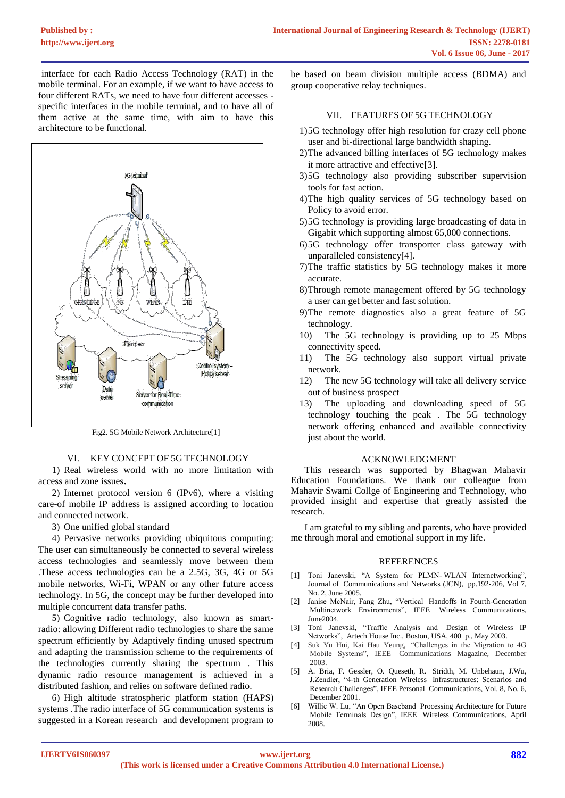interface for each Radio Access Technology (RAT) in the mobile terminal. For an example, if we want to have access to four different RATs, we need to have four different accesses specific interfaces in the mobile terminal, and to have all of them active at the same time, with aim to have this architecture to be functional.



Fig2. 5G Mobile Network Architecture[1]

#### VI. KEY CONCEPT OF 5G TECHNOLOGY

1) Real wireless world with no more limitation with access and zone issues.

2) Internet protocol version 6 (IPv6), where a visiting care-of mobile IP address is assigned according to location and connected network.

3) One unified global standard

4) Pervasive networks providing ubiquitous computing: The user can simultaneously be connected to several wireless access technologies and seamlessly move between them .These access technologies can be a 2.5G, 3G, 4G or 5G mobile networks, Wi-Fi, WPAN or any other future access technology. In 5G, the concept may be further developed into multiple concurrent data transfer paths.

5) Cognitive radio technology, also known as smartradio: allowing Different radio technologies to share the same spectrum efficiently by Adaptively finding unused spectrum and adapting the transmission scheme to the requirements of the technologies currently sharing the spectrum . This dynamic radio resource management is achieved in a distributed fashion, and relies on software defined radio.

6) High altitude stratospheric platform station (HAPS) systems .The radio interface of 5G communication systems is suggested in a Korean research and development program to

be based on beam division multiple access (BDMA) and group cooperative relay techniques.

# VII. FEATURES OF 5G TECHNOLOGY

- 1)5G technology offer high resolution for crazy cell phone user and bi-directional large bandwidth shaping.
- 2)The advanced billing interfaces of 5G technology makes it more attractive and effective[3].
- 3)5G technology also providing subscriber supervision tools for fast action.
- 4)The high quality services of 5G technology based on Policy to avoid error.
- 5)5G technology is providing large broadcasting of data in Gigabit which supporting almost 65,000 connections.
- 6)5G technology offer transporter class gateway with unparalleled consistency[4].
- 7)The traffic statistics by 5G technology makes it more accurate.
- 8)Through remote management offered by 5G technology a user can get better and fast solution.
- 9)The remote diagnostics also a great feature of 5G technology.
- 10) The 5G technology is providing up to 25 Mbps connectivity speed.
- 11) The 5G technology also support virtual private network.
- 12) The new 5G technology will take all delivery service out of business prospect
- 13) The uploading and downloading speed of 5G technology touching the peak . The 5G technology network offering enhanced and available connectivity just about the world.

#### ACKNOWLEDGMENT

This research was supported by Bhagwan Mahavir Education Foundations. We thank our colleague from Mahavir Swami Collge of Engineering and Technology, who provided insight and expertise that greatly assisted the research.

I am grateful to my sibling and parents, who have provided me through moral and emotional support in my life.

#### REFERENCES

- [1] Toni Janevski, "A System for PLMN- WLAN Internetworking", Journal of Communications and Networks (JCN), pp.192-206, Vol 7, No. 2, June 2005.
- [2] Janise McNair, Fang Zhu, "Vertical Handoffs in Fourth-Generation Multinetwork Environments", IEEE Wireless Communications, June2004.
- [3] Toni Janevski, "Traffic Analysis and Design of Wireless IP Networks", Artech House Inc., Boston, USA, 400 p., May 2003.
- [4] Suk Yu Hui, Kai Hau Yeung, "Challenges in the Migration to 4G Mobile Systems", IEEE Communications Magazine, December 2003.
- [5] A. Bria, F. Gessler, O. Queseth, R. Stridth, M. Unbehaun, J.Wu, J.Zendler, "4-th Generation Wireless Infrastructures: Scenarios and Research Challenges", IEEE Personal Communications, Vol. 8, No. 6, December 2001.
- [6] Willie W. Lu, "An Open Baseband Processing Architecture for Future Mobile Terminals Design", IEEE Wireless Communications, April 2008.